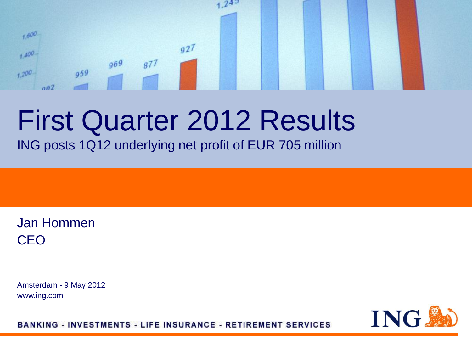#### $24^{5}$  $1,600$  $q27$  $1.400 969$  $877$  $959$  $+200$  $002$

# First Quarter 2012 Results

ING posts 1Q12 underlying net profit of EUR 705 million

Jan Hommen CEO

Amsterdam - 9 May 2012 www.ing.com

**ING.** 

**BANKING - INVESTMENTS - LIFE INSURANCE - RETIREMENT SERVICES**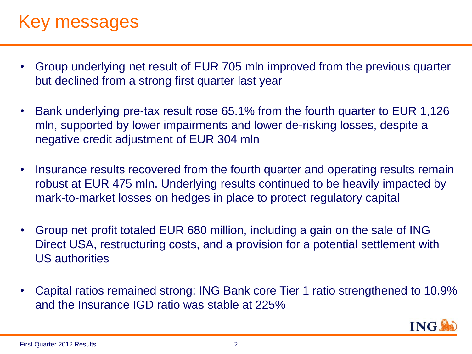# Key messages

- Group underlying net result of EUR 705 mln improved from the previous quarter but declined from a strong first quarter last year
- Bank underlying pre-tax result rose 65.1% from the fourth quarter to EUR 1,126 mln, supported by lower impairments and lower de-risking losses, despite a negative credit adjustment of EUR 304 mln
- Insurance results recovered from the fourth quarter and operating results remain robust at EUR 475 mln. Underlying results continued to be heavily impacted by mark-to-market losses on hedges in place to protect regulatory capital
- Group net profit totaled EUR 680 million, including a gain on the sale of ING Direct USA, restructuring costs, and a provision for a potential settlement with US authorities
- Capital ratios remained strong: ING Bank core Tier 1 ratio strengthened to 10.9% and the Insurance IGD ratio was stable at 225%

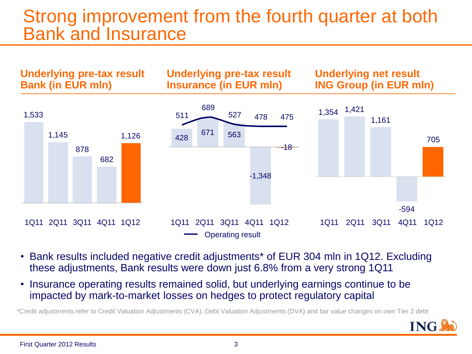# Strong improvement from the fourth quarter at both Bank and Insurance



- Bank results included negative credit adjustments\* of EUR 304 mln in 1Q12. Excluding these adjustments, Bank results were down just 6.8% from a very strong 1Q11
- Insurance operating results remained solid, but underlying earnings continue to be impacted by mark-to-market losses on hedges to protect regulatory capital

\*Credit adjustments refer to Credit Valuation Adjustments (CVA), Debt Valuation Adjustments (DVA) and fair value changes on own Tier 2 debt

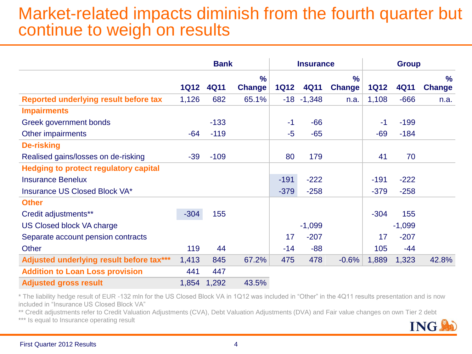### Market-related impacts diminish from the fourth quarter but continue to weigh on results

|                                              | <b>Bank</b> |             | <b>Insurance</b> |             | <b>Group</b>  |               |             |          |               |
|----------------------------------------------|-------------|-------------|------------------|-------------|---------------|---------------|-------------|----------|---------------|
|                                              |             |             | $\frac{9}{6}$    |             |               | $\frac{0}{0}$ |             |          | $\frac{9}{6}$ |
|                                              | <b>1Q12</b> | <b>4Q11</b> | <b>Change</b>    | <b>1Q12</b> | <b>4Q11</b>   | <b>Change</b> | <b>1Q12</b> | 4Q11     | <b>Change</b> |
| Reported underlying result before tax        | 1,126       | 682         | 65.1%            |             | $-18 - 1,348$ | n.a.          | 1,108       | $-666$   | n.a.          |
| <b>Impairments</b>                           |             |             |                  |             |               |               |             |          |               |
| Greek government bonds                       |             | $-133$      |                  | $-1$        | $-66$         |               | $-1$        | $-199$   |               |
| Other impairments                            | $-64$       | $-119$      |                  | $-5$        | $-65$         |               | $-69$       | $-184$   |               |
| <b>De-risking</b>                            |             |             |                  |             |               |               |             |          |               |
| Realised gains/losses on de-risking          | $-39$       | $-109$      |                  | 80          | 179           |               | 41          | 70       |               |
| <b>Hedging to protect regulatory capital</b> |             |             |                  |             |               |               |             |          |               |
| <b>Insurance Benelux</b>                     |             |             |                  | $-191$      | $-222$        |               | $-191$      | $-222$   |               |
| Insurance US Closed Block VA*                |             |             |                  | $-379$      | $-258$        |               | $-379$      | $-258$   |               |
| <b>Other</b>                                 |             |             |                  |             |               |               |             |          |               |
| Credit adjustments**                         | $-304$      | 155         |                  |             |               |               | $-304$      | 155      |               |
| US Closed block VA charge                    |             |             |                  |             | $-1,099$      |               |             | $-1,099$ |               |
| Separate account pension contracts           |             |             |                  | 17          | $-207$        |               | 17          | $-207$   |               |
| <b>Other</b>                                 | 119         | 44          |                  | $-14$       | $-88$         |               | 105         | $-44$    |               |
| Adjusted underlying result before tax***     | 1,413       | 845         | 67.2%            | 475         | 478           | $-0.6%$       | 1,889       | 1,323    | 42.8%         |
| <b>Addition to Loan Loss provision</b>       | 441         | 447         |                  |             |               |               |             |          |               |
| <b>Adjusted gross result</b>                 | 1,854       | 1,292       | 43.5%            |             |               |               |             |          |               |

\* The liability hedge result of EUR -132 mln for the US Closed Block VA in 1Q12 was included in "Other" in the 4Q11 results presentation and is now included in "Insurance US Closed Block VA"

\*\* Credit adjustments refer to Credit Valuation Adjustments (CVA), Debt Valuation Adjustments (DVA) and Fair value changes on own Tier 2 debt

\*\*\* Is equal to Insurance operating result

ING.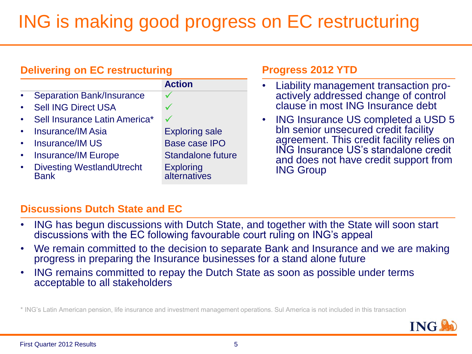# ING is making good progress on EC restructuring

#### **Delivering on EC restructuring**

|                                                 | <b>Action</b>             |
|-------------------------------------------------|---------------------------|
| <b>Separation Bank/Insurance</b>                |                           |
| <b>Sell ING Direct USA</b>                      |                           |
| Sell Insurance Latin America*                   |                           |
| <b>Insurance/IM Asia</b>                        | <b>Exploring sale</b>     |
| <b>Insurance/IM US</b>                          | <b>Base case IPO</b>      |
| <b>Insurance/IM Europe</b>                      | <b>Standalone future</b>  |
| <b>Divesting WestlandUtrecht</b><br><b>Rank</b> | Exploring<br>alternatives |

#### **Progress 2012 YTD**

- Liability management transaction proactively addressed change of control clause in most ING Insurance debt
- ING Insurance US completed a USD 5 bln senior unsecured credit facility agreement. This credit facility relies on ING Insurance US's standalone credit and does not have credit support from ING Group

#### **Discussions Dutch State and EC**

- ING has begun discussions with Dutch State, and together with the State will soon start discussions with the EC following favourable court ruling on ING's appeal
- We remain committed to the decision to separate Bank and Insurance and we are making progress in preparing the Insurance businesses for a stand alone future
- ING remains committed to repay the Dutch State as soon as possible under terms acceptable to all stakeholders

\* ING's Latin American pension, life insurance and investment management operations. Sul America is not included in this transaction

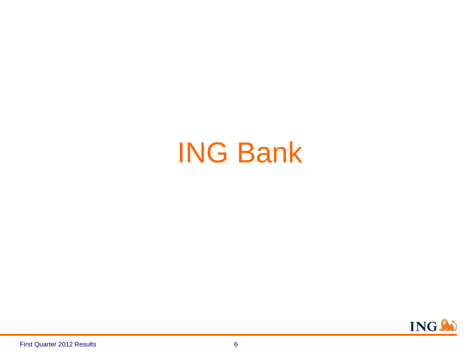# ING Bank

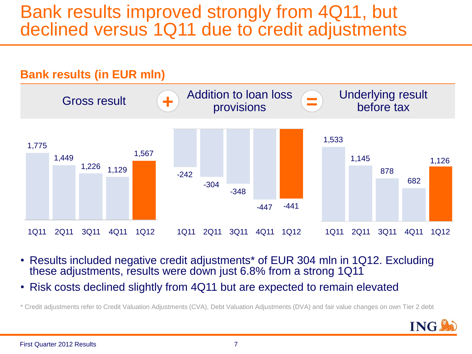# Bank results improved strongly from 4Q11, but declined versus 1Q11 due to credit adjustments



- Results included negative credit adjustments\* of EUR 304 mln in 1Q12. Excluding these adjustments, results were down just 6.8% from a strong 1Q11
- Risk costs declined slightly from 4Q11 but are expected to remain elevated

<sup>\*</sup> Credit adjustments refer to Credit Valuation Adjustments (CVA), Debt Valuation Adjustments (DVA) and fair value changes on own Tier 2 debt

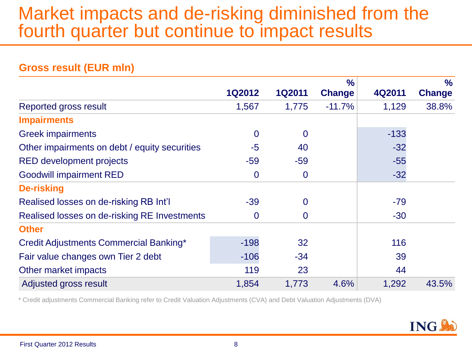# Market impacts and de-risking diminished from the fourth quarter but continue to impact results

|                                               |                |                | $\frac{1}{2}$ |        | $\%$          |
|-----------------------------------------------|----------------|----------------|---------------|--------|---------------|
|                                               | <b>1Q2012</b>  | <b>1Q2011</b>  | <b>Change</b> | 4Q2011 | <b>Change</b> |
| <b>Reported gross result</b>                  | 1,567          | 1,775          | $-11.7%$      | 1,129  | 38.8%         |
| <b>Impairments</b>                            |                |                |               |        |               |
| <b>Greek impairments</b>                      | $\overline{0}$ | $\overline{0}$ |               | $-133$ |               |
| Other impairments on debt / equity securities | $-5$           | 40             |               | $-32$  |               |
| <b>RED development projects</b>               | $-59$          | $-59$          |               | $-55$  |               |
| <b>Goodwill impairment RED</b>                | $\mathbf 0$    | $\mathbf 0$    |               | $-32$  |               |
| <b>De-risking</b>                             |                |                |               |        |               |
| Realised losses on de-risking RB Int'l        | $-39$          | 0              |               | $-79$  |               |
| Realised losses on de-risking RE Investments  | $\bf{0}$       | $\mathbf 0$    |               | $-30$  |               |
| <b>Other</b>                                  |                |                |               |        |               |
| Credit Adjustments Commercial Banking*        | $-198$         | 32             |               | 116    |               |
| Fair value changes own Tier 2 debt            | $-106$         | $-34$          |               | 39     |               |
| Other market impacts                          | 119            | 23             |               | 44     |               |
| Adjusted gross result                         | 1,854          | 1,773          | 4.6%          | 1,292  | 43.5%         |

#### **Gross result (EUR mln)**

\* Credit adjustments Commercial Banking refer to Credit Valuation Adjustments (CVA) and Debt Valuation Adjustments (DVA)

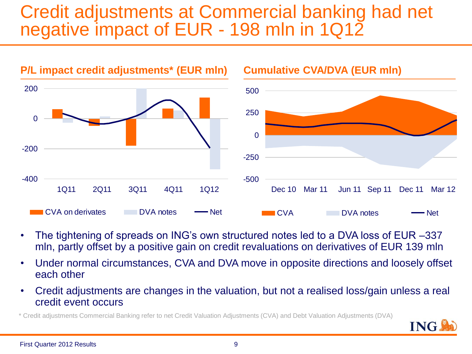# Credit adjustments at Commercial banking had net negative impact of EUR - 198 mln in 1Q12



- The tightening of spreads on ING's own structured notes led to a DVA loss of EUR –337 mln, partly offset by a positive gain on credit revaluations on derivatives of EUR 139 mln
- Under normal circumstances, CVA and DVA move in opposite directions and loosely offset each other
- Credit adjustments are changes in the valuation, but not a realised loss/gain unless a real credit event occurs

\* Credit adjustments Commercial Banking refer to net Credit Valuation Adjustments (CVA) and Debt Valuation Adjustments (DVA)

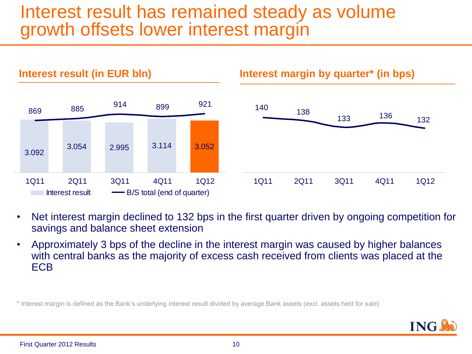# Interest result has remained steady as volume growth offsets lower interest margin



- Net interest margin declined to 132 bps in the first quarter driven by ongoing competition for savings and balance sheet extension
- Approximately 3 bps of the decline in the interest margin was caused by higher balances with central banks as the majority of excess cash received from clients was placed at the ECB

\* Interest margin is defined as the Bank's underlying interest result divided by average Bank assets (excl. assets held for sale)

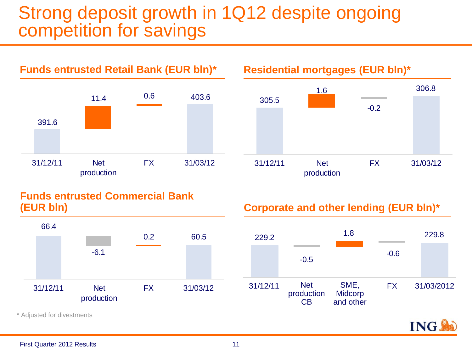# Strong deposit growth in 1Q12 despite ongoing competition for savings



#### **Residential mortgages (EUR bln)\***



#### **Funds entrusted Commercial Bank (EUR bln)**



**Corporate and other lending (EUR bln)\***



**ING** 

\* Adjusted for divestments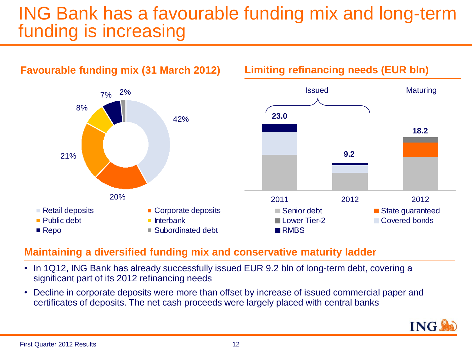# ING Bank has a favourable funding mix and long-term funding is increasing



#### **Maintaining a diversified funding mix and conservative maturity ladder**

- In 1Q12, ING Bank has already successfully issued EUR 9.2 bln of long-term debt, covering a significant part of its 2012 refinancing needs
- Decline in corporate deposits were more than offset by increase of issued commercial paper and certificates of deposits. The net cash proceeds were largely placed with central banks

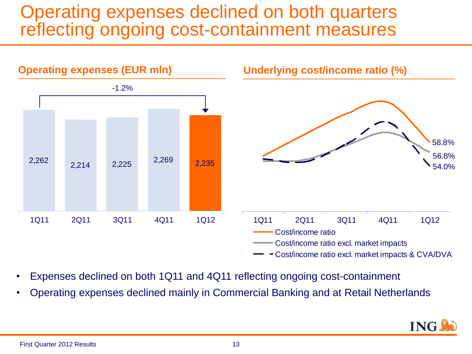# Operating expenses declined on both quarters reflecting ongoing cost-containment measures



- Expenses declined on both 1Q11 and 4Q11 reflecting ongoing cost-containment
- Operating expenses declined mainly in Commercial Banking and at Retail Netherlands

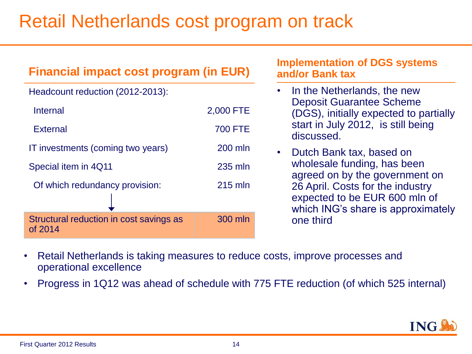# Retail Netherlands cost program on track

| <b>Financial impact cost program (in EUR)</b>      | <b>Implementation of DGS systems</b><br>and/or Bank tax |                                                                                                         |  |
|----------------------------------------------------|---------------------------------------------------------|---------------------------------------------------------------------------------------------------------|--|
| Headcount reduction (2012-2013):                   | In the Netherlands, the new<br>$\bullet$                |                                                                                                         |  |
| <b>Internal</b>                                    | 2,000 FTE                                               | <b>Deposit Guarantee Scheme</b><br>(DGS), initially expected to partially                               |  |
| <b>External</b>                                    | <b>700 FTE</b>                                          | start in July 2012, is still being<br>discussed.                                                        |  |
| IT investments (coming two years)                  | 200 mln                                                 | Dutch Bank tax, based on<br>$\bullet$                                                                   |  |
| Special item in 4Q11                               | 235 mln                                                 | wholesale funding, has been<br>agreed on by the government on                                           |  |
| Of which redundancy provision:                     | 215 mln                                                 | 26 April. Costs for the industry<br>expected to be EUR 600 mln of<br>which ING's share is approximately |  |
| Structural reduction in cost savings as<br>of 2014 | 300 mln                                                 | one third                                                                                               |  |

- Retail Netherlands is taking measures to reduce costs, improve processes and operational excellence
- Progress in 1Q12 was ahead of schedule with 775 FTE reduction (of which 525 internal)

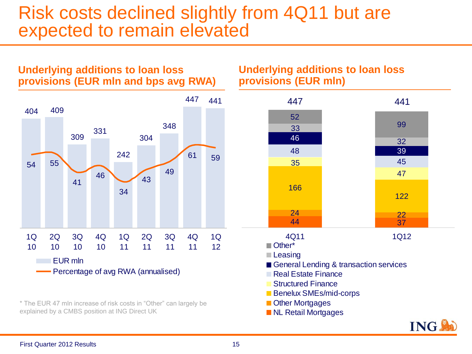### Risk costs declined slightly from 4Q11 but are expected to remain elevated



**Underlying additions to loan loss** 

\* The EUR 47 mln increase of risk costs in "Other" can largely be explained by a CMBS position at ING Direct UK

#### **Underlying additions to loan loss provisions (EUR mln)**

| 447                                                                                                                                     | 441  |  |
|-----------------------------------------------------------------------------------------------------------------------------------------|------|--|
| 52<br>33                                                                                                                                | 99   |  |
| 46                                                                                                                                      | 32   |  |
| 48                                                                                                                                      | 39   |  |
| 35                                                                                                                                      | 45   |  |
|                                                                                                                                         | 47   |  |
| 166                                                                                                                                     | 122  |  |
| 24                                                                                                                                      | 22   |  |
| 44                                                                                                                                      | 37   |  |
| 4Q11<br>Other*<br><b>Leasing</b>                                                                                                        | 1Q12 |  |
| General Lending & transaction services<br>Real Estate Finance<br>Structured Finance<br><b>Benelux SMEs/mid-corps</b><br>Other Mortgages |      |  |

**NL Retail Mortgages** 

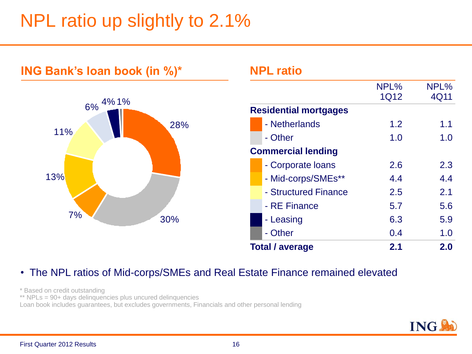# NPL ratio up slightly to 2.1%



#### • The NPL ratios of Mid-corps/SMEs and Real Estate Finance remained elevated

\* Based on credit outstanding

\*\* NPLs = 90+ days delinquencies plus uncured delinquencies

Loan book includes guarantees, but excludes governments, Financials and other personal lending

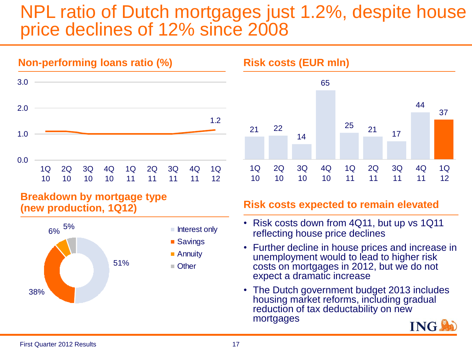# NPL ratio of Dutch mortgages just 1.2%, despite house price declines of 12% since 2008



#### **Breakdown by mortgage type (new production, 1Q12)**





#### **Risk costs expected to remain elevated**

- Risk costs down from 4Q11, but up vs 1Q11 reflecting house price declines
- Further decline in house prices and increase in unemployment would to lead to higher risk costs on mortgages in 2012, but we do not expect a dramatic increase
- The Dutch government budget 2013 includes housing market reforms, including gradual reduction of tax deductability on new mortgages

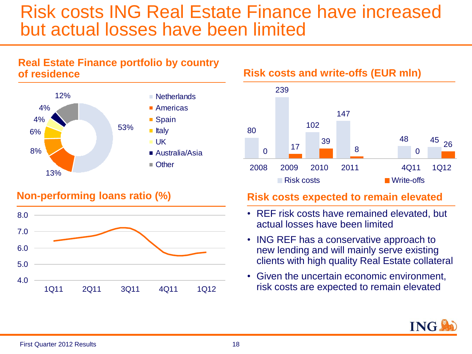## Risk costs ING Real Estate Finance have increased but actual losses have been limited

#### **Real Estate Finance portfolio by country of residence**



#### **Non-performing loans ratio (%)**



**Risk costs and write-offs (EUR mln)**



#### **Risk costs expected to remain elevated**

- REF risk costs have remained elevated, but actual losses have been limited
- ING REF has a conservative approach to new lending and will mainly serve existing clients with high quality Real Estate collateral
- Given the uncertain economic environment, risk costs are expected to remain elevated

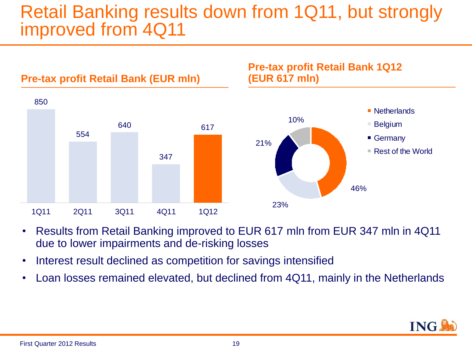# Retail Banking results down from 1Q11, but strongly improved from 4Q11



- Results from Retail Banking improved to EUR 617 mln from EUR 347 mln in 4Q11 due to lower impairments and de-risking losses
- Interest result declined as competition for savings intensified
- Loan losses remained elevated, but declined from 4Q11, mainly in the Netherlands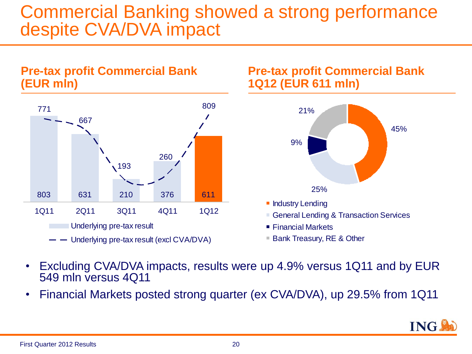## **Commercial Banking showed a strong performance** despite CVA/DVA impact



- Excluding CVA/DVA impacts, results were up 4.9% versus 1Q11 and by EUR 549 mln versus 4Q11
- Financial Markets posted strong quarter (ex CVA/DVA), up 29.5% from 1Q11

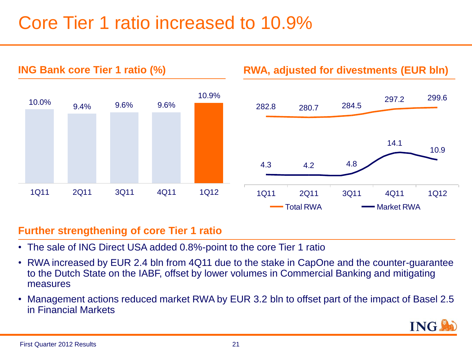# Core Tier 1 ratio increased to 10.9%



#### **Further strengthening of core Tier 1 ratio**

- The sale of ING Direct USA added 0.8%-point to the core Tier 1 ratio
- RWA increased by EUR 2.4 bln from 4Q11 due to the stake in CapOne and the counter-guarantee to the Dutch State on the IABF, offset by lower volumes in Commercial Banking and mitigating measures
- Management actions reduced market RWA by EUR 3.2 bln to offset part of the impact of Basel 2.5 in Financial Markets

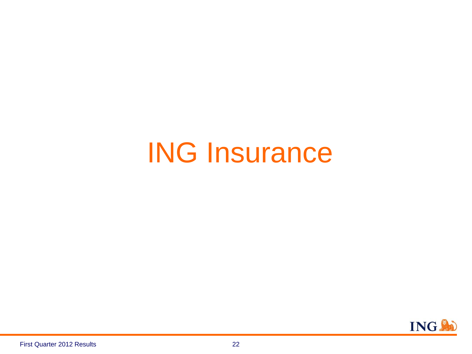# ING Insurance

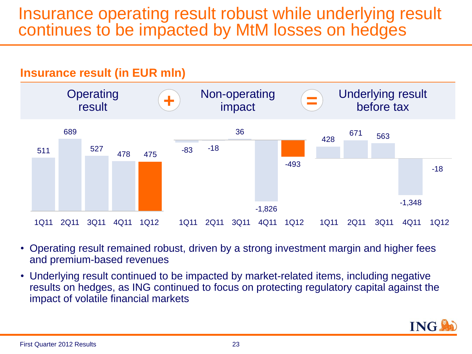### Insurance operating result robust while underlying result continues to be impacted by MtM losses on hedges



- Operating result remained robust, driven by a strong investment margin and higher fees and premium-based revenues
- Underlying result continued to be impacted by market-related items, including negative results on hedges, as ING continued to focus on protecting regulatory capital against the impact of volatile financial markets

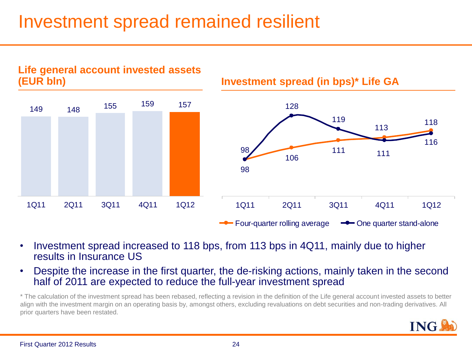# Investment spread remained resilient



- Investment spread increased to 118 bps, from 113 bps in 4Q11, mainly due to higher results in Insurance US
- Despite the increase in the first quarter, the de-risking actions, mainly taken in the second half of 2011 are expected to reduce the full-year investment spread

\* The calculation of the investment spread has been rebased, reflecting a revision in the definition of the Life general account invested assets to better align with the investment margin on an operating basis by, amongst others, excluding revaluations on debt securities and non-trading derivatives. All prior quarters have been restated.

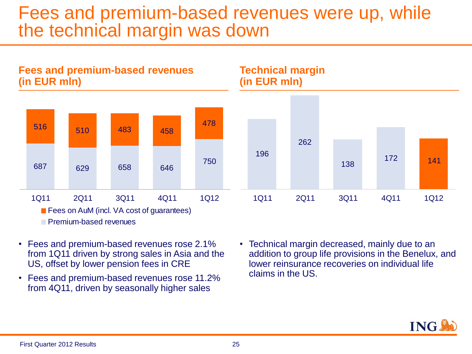### Fees and premium-based revenues were up, while the technical margin was down



- Fees and premium-based revenues rose 2.1% from 1Q11 driven by strong sales in Asia and the US, offset by lower pension fees in CRE
- Fees and premium-based revenues rose 11.2% from 4Q11, driven by seasonally higher sales
- Technical margin decreased, mainly due to an addition to group life provisions in the Benelux, and lower reinsurance recoveries on individual life claims in the US.

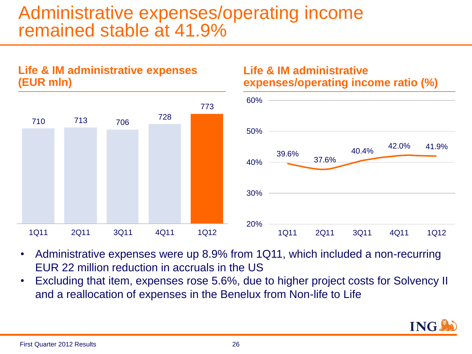# Administrative expenses/operating income remained stable at 41.9%



**Life & IM administrative expenses** 

**(EUR mln)**

#### **Life & IM administrative expenses/operating income ratio (%)**



- Administrative expenses were up 8.9% from 1Q11, which included a non-recurring EUR 22 million reduction in accruals in the US
- Excluding that item, expenses rose 5.6%, due to higher project costs for Solvency II and a reallocation of expenses in the Benelux from Non-life to Life

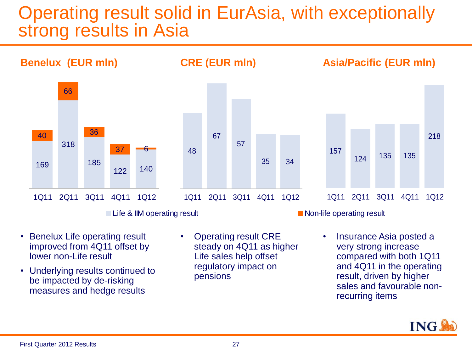# Operating result solid in EurAsia, with exceptionally strong results in Asia



- Benelux Life operating result improved from 4Q11 offset by lower non-Life result
- Underlying results continued to be impacted by de-risking measures and hedge results
- Operating result CRE steady on 4Q11 as higher Life sales help offset regulatory impact on pensions
- Insurance Asia posted a very strong increase compared with both 1Q11 and 4Q11 in the operating result, driven by higher sales and favourable nonrecurring items

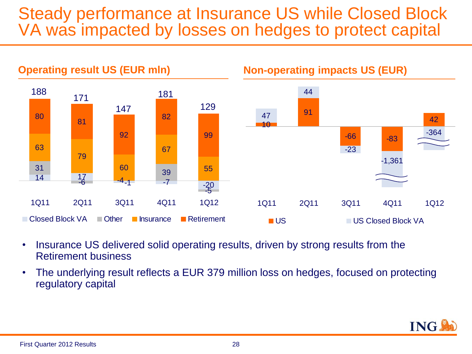### Steady performance at Insurance US while Closed Block VA was impacted by losses on hedges to protect capital



- Insurance US delivered solid operating results, driven by strong results from the Retirement business
- The underlying result reflects a EUR 379 million loss on hedges, focused on protecting regulatory capital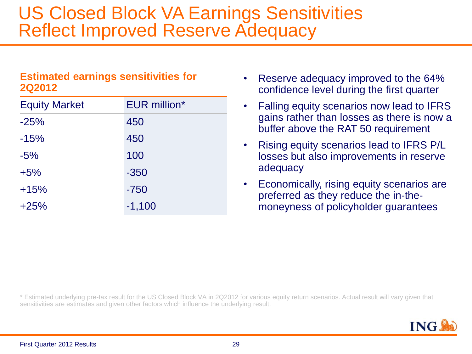# US Closed Block VA Earnings Sensitivities Reflect Improved Reserve Adequacy

#### **Estimated earnings sensitivities for 2Q2012**

| <b>Equity Market</b> | <b>EUR million*</b> |
|----------------------|---------------------|
| $-25%$               | 450                 |
| $-15%$               | 450                 |
| $-5%$                | 100                 |
| $+5%$                | $-350$              |
| $+15%$               | $-750$              |
| $+25%$               | $-1,100$            |

- Reserve adequacy improved to the 64% confidence level during the first quarter
- Falling equity scenarios now lead to IFRS gains rather than losses as there is now a buffer above the RAT 50 requirement
- Rising equity scenarios lead to IFRS P/L losses but also improvements in reserve adequacy
- Economically, rising equity scenarios are preferred as they reduce the in-themoneyness of policyholder guarantees

\* Estimated underlying pre-tax result for the US Closed Block VA in 2Q2012 for various equity return scenarios. Actual result will vary given that sensitivities are estimates and given other factors which influence the underlying result.

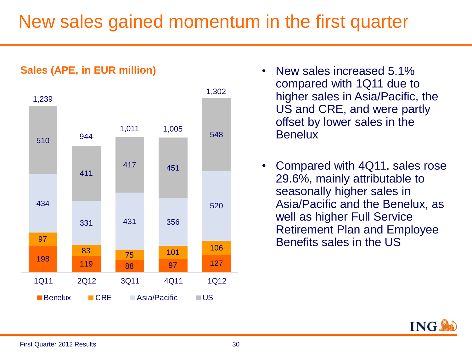# New sales gained momentum in the first quarter



- New sales increased 5.1% compared with 1Q11 due to higher sales in Asia/Pacific, the US and CRE, and were partly offset by lower sales in the **Benelux**
- Compared with 4Q11, sales rose 29.6%, mainly attributable to seasonally higher sales in Asia/Pacific and the Benelux, as well as higher Full Service Retirement Plan and Employee Benefits sales in the US

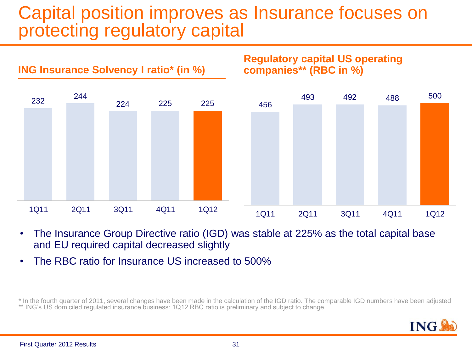# Capital position improves as Insurance focuses on protecting regulatory capital



- The Insurance Group Directive ratio (IGD) was stable at 225% as the total capital base and EU required capital decreased slightly
- The RBC ratio for Insurance US increased to 500%

\* In the fourth quarter of 2011, several changes have been made in the calculation of the IGD ratio. The comparable IGD numbers have been adjusted \*\* ING's US domiciled regulated insurance business: 1Q12 RBC ratio is preliminary and subject to change.

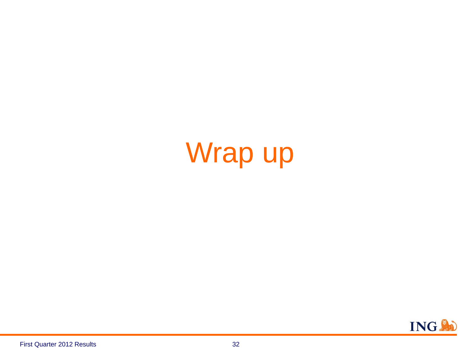# Wrap up

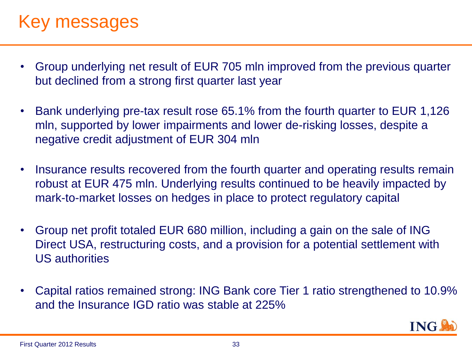# Key messages

- Group underlying net result of EUR 705 mln improved from the previous quarter but declined from a strong first quarter last year
- Bank underlying pre-tax result rose 65.1% from the fourth quarter to EUR 1,126 mln, supported by lower impairments and lower de-risking losses, despite a negative credit adjustment of EUR 304 mln
- Insurance results recovered from the fourth quarter and operating results remain robust at EUR 475 mln. Underlying results continued to be heavily impacted by mark-to-market losses on hedges in place to protect regulatory capital
- Group net profit totaled EUR 680 million, including a gain on the sale of ING Direct USA, restructuring costs, and a provision for a potential settlement with US authorities
- Capital ratios remained strong: ING Bank core Tier 1 ratio strengthened to 10.9% and the Insurance IGD ratio was stable at 225%